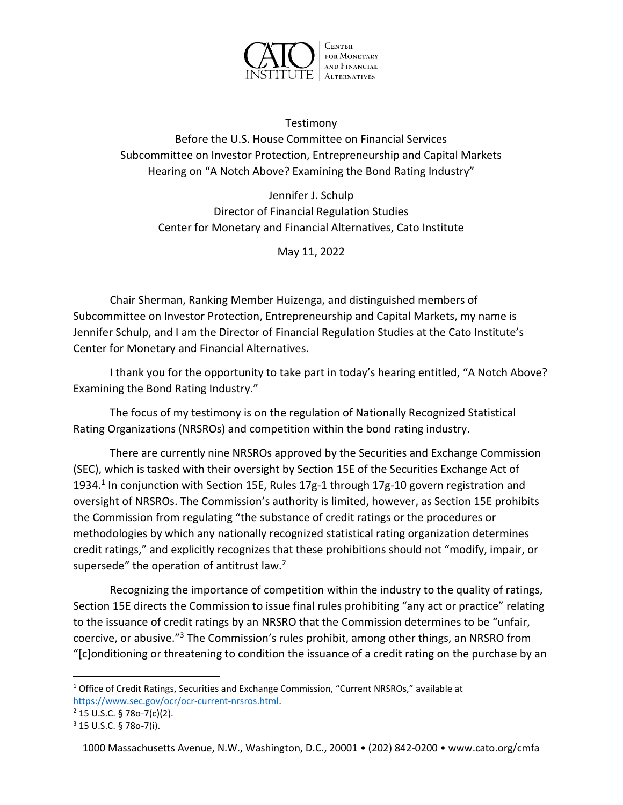

Testimony Before the U.S. House Committee on Financial Services Subcommittee on Investor Protection, Entrepreneurship and Capital Markets Hearing on "A Notch Above? Examining the Bond Rating Industry"

Jennifer J. Schulp Director of Financial Regulation Studies Center for Monetary and Financial Alternatives, Cato Institute

May 11, 2022

Chair Sherman, Ranking Member Huizenga, and distinguished members of Subcommittee on Investor Protection, Entrepreneurship and Capital Markets, my name is Jennifer Schulp, and I am the Director of Financial Regulation Studies at the Cato Institute's Center for Monetary and Financial Alternatives.

I thank you for the opportunity to take part in today's hearing entitled, "A Notch Above? Examining the Bond Rating Industry."

The focus of my testimony is on the regulation of Nationally Recognized Statistical Rating Organizations (NRSROs) and competition within the bond rating industry.

There are currently nine NRSROs approved by the Securities and Exchange Commission (SEC), which is tasked with their oversight by Section 15E of the Securities Exchange Act of 1934.<sup>1</sup> In conjunction with Section 15E, Rules 17g-1 through 17g-10 govern registration and oversight of NRSROs. The Commission's authority is limited, however, as Section 15E prohibits the Commission from regulating "the substance of credit ratings or the procedures or methodologies by which any nationally recognized statistical rating organization determines credit ratings," and explicitly recognizes that these prohibitions should not "modify, impair, or supersede" the operation of antitrust law.<sup>2</sup>

Recognizing the importance of competition within the industry to the quality of ratings, Section 15E directs the Commission to issue final rules prohibiting "any act or practice" relating to the issuance of credit ratings by an NRSRO that the Commission determines to be "unfair, coercive, or abusive."<sup>3</sup> The Commission's rules prohibit, among other things, an NRSRO from "[c]onditioning or threatening to condition the issuance of a credit rating on the purchase by an

<sup>&</sup>lt;sup>1</sup> Office of Credit Ratings, Securities and Exchange Commission, "Current NRSROs," available at https://www.sec.gov/ocr/ocr-current-nrsros.html.

<sup>2</sup> 15 U.S.C. § 78o-7(c)(2).

<sup>3</sup> 15 U.S.C. § 78o-7(i).

<sup>1000</sup> Massachusetts Avenue, N.W., Washington, D.C., 20001 • (202) 842-0200 • www.cato.org/cmfa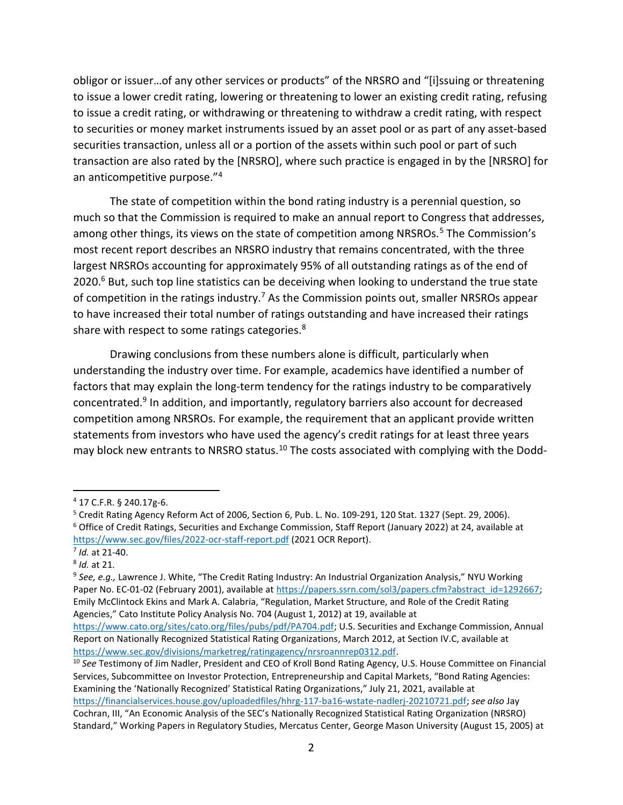obligor or issuer…of any other services or products" of the NRSRO and "[i]ssuing or threatening to issue a lower credit rating, lowering or threatening to lower an existing credit rating, refusing to issue a credit rating, or withdrawing or threatening to withdraw a credit rating, with respect to securities or money market instruments issued by an asset pool or as part of any asset-based securities transaction, unless all or a portion of the assets within such pool or part of such transaction are also rated by the [NRSRO], where such practice is engaged in by the [NRSRO] for an anticompetitive purpose."<sup>4</sup>

The state of competition within the bond rating industry is a perennial question, so much so that the Commission is required to make an annual report to Congress that addresses, among other things, its views on the state of competition among NRSROs.<sup>5</sup> The Commission's most recent report describes an NRSRO industry that remains concentrated, with the three largest NRSROs accounting for approximately 95% of all outstanding ratings as of the end of 2020.<sup>6</sup> But, such top line statistics can be deceiving when looking to understand the true state of competition in the ratings industry.<sup>7</sup> As the Commission points out, smaller NRSROs appear to have increased their total number of ratings outstanding and have increased their ratings share with respect to some ratings categories.<sup>8</sup>

Drawing conclusions from these numbers alone is difficult, particularly when understanding the industry over time. For example, academics have identified a number of factors that may explain the long-term tendency for the ratings industry to be comparatively concentrated.<sup>9</sup> In addition, and importantly, regulatory barriers also account for decreased competition among NRSROs. For example, the requirement that an applicant provide written statements from investors who have used the agency's credit ratings for at least three years may block new entrants to NRSRO status.<sup>10</sup> The costs associated with complying with the Dodd-

https://www.sec.gov/divisions/marketreg/ratingagency/nrsroannrep0312.pdf.

<sup>4</sup> 17 C.F.R. § 240.17g-6.

<sup>&</sup>lt;sup>5</sup> Credit Rating Agency Reform Act of 2006, Section 6, Pub. L. No. 109-291, 120 Stat. 1327 (Sept. 29, 2006). 6 Office of Credit Ratings, Securities and Exchange Commission, Staff Report (January 2022) at 24, available at https://www.sec.gov/files/2022-ocr-staff-report.pdf (2021 OCR Report).

<sup>7</sup> Id. at 21-40.

<sup>&</sup>lt;sup>8</sup> Id. at 21.

<sup>&</sup>lt;sup>9</sup> See, e.g., Lawrence J. White, "The Credit Rating Industry: An Industrial Organization Analysis," NYU Working Paper No. EC-01-02 (February 2001), available at https://papers.ssrn.com/sol3/papers.cfm?abstract\_id=1292667; Emily McClintock Ekins and Mark A. Calabria, "Regulation, Market Structure, and Role of the Credit Rating Agencies," Cato Institute Policy Analysis No. 704 (August 1, 2012) at 19, available at https://www.cato.org/sites/cato.org/files/pubs/pdf/PA704.pdf; U.S. Securities and Exchange Commission, Annual Report on Nationally Recognized Statistical Rating Organizations, March 2012, at Section IV.C, available at

<sup>&</sup>lt;sup>10</sup> See Testimony of Jim Nadler, President and CEO of Kroll Bond Rating Agency, U.S. House Committee on Financial Services, Subcommittee on Investor Protection, Entrepreneurship and Capital Markets, "Bond Rating Agencies: Examining the 'Nationally Recognized' Statistical Rating Organizations," July 21, 2021, available at https://financialservices.house.gov/uploadedfiles/hhrg-117-ba16-wstate-nadlerj-20210721.pdf; see also Jay Cochran, III, "An Economic Analysis of the SEC's Nationally Recognized Statistical Rating Organization (NRSRO) Standard," Working Papers in Regulatory Studies, Mercatus Center, George Mason University (August 15, 2005) at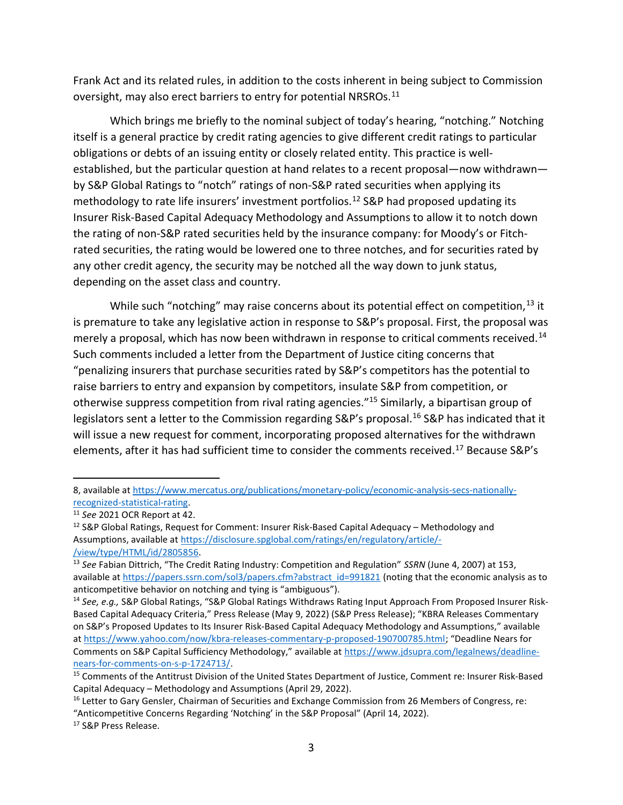Frank Act and its related rules, in addition to the costs inherent in being subject to Commission oversight, may also erect barriers to entry for potential NRSROs. $^{11}$ 

 Which brings me briefly to the nominal subject of today's hearing, "notching." Notching itself is a general practice by credit rating agencies to give different credit ratings to particular obligations or debts of an issuing entity or closely related entity. This practice is wellestablished, but the particular question at hand relates to a recent proposal—now withdrawn by S&P Global Ratings to "notch" ratings of non-S&P rated securities when applying its methodology to rate life insurers' investment portfolios.<sup>12</sup> S&P had proposed updating its Insurer Risk-Based Capital Adequacy Methodology and Assumptions to allow it to notch down the rating of non-S&P rated securities held by the insurance company: for Moody's or Fitchrated securities, the rating would be lowered one to three notches, and for securities rated by any other credit agency, the security may be notched all the way down to junk status, depending on the asset class and country.

While such "notching" may raise concerns about its potential effect on competition,<sup>13</sup> it is premature to take any legislative action in response to S&P's proposal. First, the proposal was merely a proposal, which has now been withdrawn in response to critical comments received.<sup>14</sup> Such comments included a letter from the Department of Justice citing concerns that "penalizing insurers that purchase securities rated by S&P's competitors has the potential to raise barriers to entry and expansion by competitors, insulate S&P from competition, or otherwise suppress competition from rival rating agencies."<sup>15</sup> Similarly, a bipartisan group of legislators sent a letter to the Commission regarding S&P's proposal.<sup>16</sup> S&P has indicated that it will issue a new request for comment, incorporating proposed alternatives for the withdrawn elements, after it has had sufficient time to consider the comments received.<sup>17</sup> Because S&P's

<sup>8,</sup> available at https://www.mercatus.org/publications/monetary-policy/economic-analysis-secs-nationallyrecognized-statistical-rating.

<sup>&</sup>lt;sup>11</sup> See 2021 OCR Report at 42.

 $12$  S&P Global Ratings, Request for Comment: Insurer Risk-Based Capital Adequacy – Methodology and Assumptions, available at https://disclosure.spglobal.com/ratings/en/regulatory/article/- /view/type/HTML/id/2805856.

<sup>&</sup>lt;sup>13</sup> See Fabian Dittrich, "The Credit Rating Industry: Competition and Regulation" SSRN (June 4, 2007) at 153, available at https://papers.ssrn.com/sol3/papers.cfm?abstract\_id=991821 (noting that the economic analysis as to anticompetitive behavior on notching and tying is "ambiguous").

<sup>&</sup>lt;sup>14</sup> See, e.g., S&P Global Ratings, "S&P Global Ratings Withdraws Rating Input Approach From Proposed Insurer Risk-Based Capital Adequacy Criteria," Press Release (May 9, 2022) (S&P Press Release); "KBRA Releases Commentary on S&P's Proposed Updates to Its Insurer Risk-Based Capital Adequacy Methodology and Assumptions," available at https://www.yahoo.com/now/kbra-releases-commentary-p-proposed-190700785.html; "Deadline Nears for Comments on S&P Capital Sufficiency Methodology," available at https://www.jdsupra.com/legalnews/deadlinenears-for-comments-on-s-p-1724713/.

<sup>&</sup>lt;sup>15</sup> Comments of the Antitrust Division of the United States Department of Justice, Comment re: Insurer Risk-Based Capital Adequacy – Methodology and Assumptions (April 29, 2022).

<sup>&</sup>lt;sup>16</sup> Letter to Gary Gensler, Chairman of Securities and Exchange Commission from 26 Members of Congress, re: "Anticompetitive Concerns Regarding 'Notching' in the S&P Proposal" (April 14, 2022).

<sup>17</sup> S&P Press Release.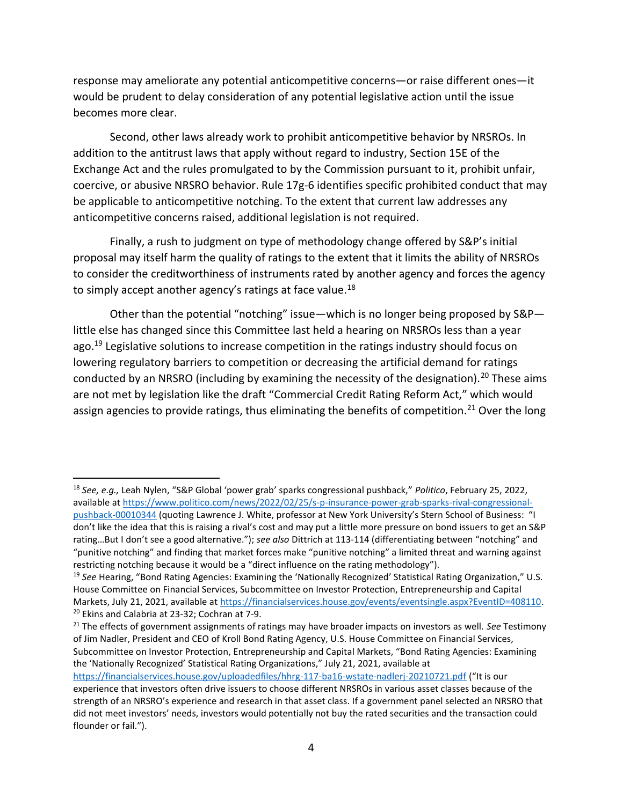response may ameliorate any potential anticompetitive concerns—or raise different ones—it would be prudent to delay consideration of any potential legislative action until the issue becomes more clear.

Second, other laws already work to prohibit anticompetitive behavior by NRSROs. In addition to the antitrust laws that apply without regard to industry, Section 15E of the Exchange Act and the rules promulgated to by the Commission pursuant to it, prohibit unfair, coercive, or abusive NRSRO behavior. Rule 17g-6 identifies specific prohibited conduct that may be applicable to anticompetitive notching. To the extent that current law addresses any anticompetitive concerns raised, additional legislation is not required.

Finally, a rush to judgment on type of methodology change offered by S&P's initial proposal may itself harm the quality of ratings to the extent that it limits the ability of NRSROs to consider the creditworthiness of instruments rated by another agency and forces the agency to simply accept another agency's ratings at face value.<sup>18</sup>

Other than the potential "notching" issue—which is no longer being proposed by S&P little else has changed since this Committee last held a hearing on NRSROs less than a year ago.<sup>19</sup> Legislative solutions to increase competition in the ratings industry should focus on lowering regulatory barriers to competition or decreasing the artificial demand for ratings conducted by an NRSRO (including by examining the necessity of the designation).<sup>20</sup> These aims are not met by legislation like the draft "Commercial Credit Rating Reform Act," which would assign agencies to provide ratings, thus eliminating the benefits of competition.<sup>21</sup> Over the long

https://financialservices.house.gov/uploadedfiles/hhrg-117-ba16-wstate-nadlerj-20210721.pdf ("It is our

<sup>&</sup>lt;sup>18</sup> See, e.g., Leah Nylen, "S&P Global 'power grab' sparks congressional pushback," Politico, February 25, 2022, available at https://www.politico.com/news/2022/02/25/s-p-insurance-power-grab-sparks-rival-congressionalpushback-00010344 (quoting Lawrence J. White, professor at New York University's Stern School of Business: "I don't like the idea that this is raising a rival's cost and may put a little more pressure on bond issuers to get an S&P rating...But I don't see a good alternative."); see also Dittrich at 113-114 (differentiating between "notching" and "punitive notching" and finding that market forces make "punitive notching" a limited threat and warning against restricting notching because it would be a "direct influence on the rating methodology").

 $19$  See Hearing, "Bond Rating Agencies: Examining the 'Nationally Recognized' Statistical Rating Organization," U.S. House Committee on Financial Services, Subcommittee on Investor Protection, Entrepreneurship and Capital Markets, July 21, 2021, available at https://financialservices.house.gov/events/eventsingle.aspx?EventID=408110. <sup>20</sup> Ekins and Calabria at 23-32; Cochran at 7-9.

 $21$  The effects of government assignments of ratings may have broader impacts on investors as well. See Testimony of Jim Nadler, President and CEO of Kroll Bond Rating Agency, U.S. House Committee on Financial Services, Subcommittee on Investor Protection, Entrepreneurship and Capital Markets, "Bond Rating Agencies: Examining the 'Nationally Recognized' Statistical Rating Organizations," July 21, 2021, available at

experience that investors often drive issuers to choose different NRSROs in various asset classes because of the strength of an NRSRO's experience and research in that asset class. If a government panel selected an NRSRO that did not meet investors' needs, investors would potentially not buy the rated securities and the transaction could flounder or fail.").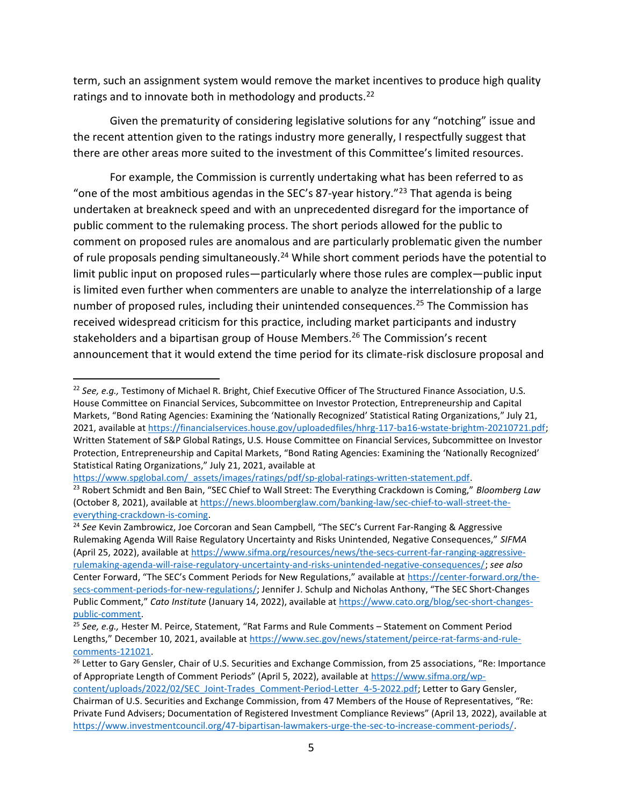term, such an assignment system would remove the market incentives to produce high quality ratings and to innovate both in methodology and products.<sup>22</sup>

Given the prematurity of considering legislative solutions for any "notching" issue and the recent attention given to the ratings industry more generally, I respectfully suggest that there are other areas more suited to the investment of this Committee's limited resources.

For example, the Commission is currently undertaking what has been referred to as "one of the most ambitious agendas in the SEC's 87-year history."<sup>23</sup> That agenda is being undertaken at breakneck speed and with an unprecedented disregard for the importance of public comment to the rulemaking process. The short periods allowed for the public to comment on proposed rules are anomalous and are particularly problematic given the number of rule proposals pending simultaneously.<sup>24</sup> While short comment periods have the potential to limit public input on proposed rules—particularly where those rules are complex—public input is limited even further when commenters are unable to analyze the interrelationship of a large number of proposed rules, including their unintended consequences.<sup>25</sup> The Commission has received widespread criticism for this practice, including market participants and industry stakeholders and a bipartisan group of House Members.<sup>26</sup> The Commission's recent announcement that it would extend the time period for its climate-risk disclosure proposal and

https://www.spglobal.com/\_assets/images/ratings/pdf/sp-global-ratings-written-statement.pdf.

<sup>&</sup>lt;sup>22</sup> See, e.g., Testimony of Michael R. Bright, Chief Executive Officer of The Structured Finance Association, U.S. House Committee on Financial Services, Subcommittee on Investor Protection, Entrepreneurship and Capital Markets, "Bond Rating Agencies: Examining the 'Nationally Recognized' Statistical Rating Organizations," July 21, 2021, available at https://financialservices.house.gov/uploadedfiles/hhrg-117-ba16-wstate-brightm-20210721.pdf; Written Statement of S&P Global Ratings, U.S. House Committee on Financial Services, Subcommittee on Investor Protection, Entrepreneurship and Capital Markets, "Bond Rating Agencies: Examining the 'Nationally Recognized' Statistical Rating Organizations," July 21, 2021, available at

<sup>&</sup>lt;sup>23</sup> Robert Schmidt and Ben Bain, "SEC Chief to Wall Street: The Everything Crackdown is Coming," Bloomberg Law (October 8, 2021), available at https://news.bloomberglaw.com/banking-law/sec-chief-to-wall-street-theeverything-crackdown-is-coming.

<sup>&</sup>lt;sup>24</sup> See Kevin Zambrowicz, Joe Corcoran and Sean Campbell, "The SEC's Current Far-Ranging & Aggressive Rulemaking Agenda Will Raise Regulatory Uncertainty and Risks Unintended, Negative Consequences," SIFMA (April 25, 2022), available at https://www.sifma.org/resources/news/the-secs-current-far-ranging-aggressiverulemaking-agenda-will-raise-regulatory-uncertainty-and-risks-unintended-negative-consequences/; see also Center Forward, "The SEC's Comment Periods for New Regulations," available at https://center-forward.org/thesecs-comment-periods-for-new-regulations/; Jennifer J. Schulp and Nicholas Anthony, "The SEC Short-Changes Public Comment," Cato Institute (January 14, 2022), available at https://www.cato.org/blog/sec-short-changespublic-comment.

 $25$  See, e.g., Hester M. Peirce, Statement, "Rat Farms and Rule Comments – Statement on Comment Period Lengths," December 10, 2021, available at https://www.sec.gov/news/statement/peirce-rat-farms-and-rulecomments-121021.

<sup>&</sup>lt;sup>26</sup> Letter to Gary Gensler, Chair of U.S. Securities and Exchange Commission, from 25 associations, "Re: Importance of Appropriate Length of Comment Periods" (April 5, 2022), available at https://www.sifma.org/wpcontent/uploads/2022/02/SEC\_Joint-Trades\_Comment-Period-Letter\_4-5-2022.pdf; Letter to Gary Gensler, Chairman of U.S. Securities and Exchange Commission, from 47 Members of the House of Representatives, "Re:

Private Fund Advisers; Documentation of Registered Investment Compliance Reviews" (April 13, 2022), available at https://www.investmentcouncil.org/47-bipartisan-lawmakers-urge-the-sec-to-increase-comment-periods/.